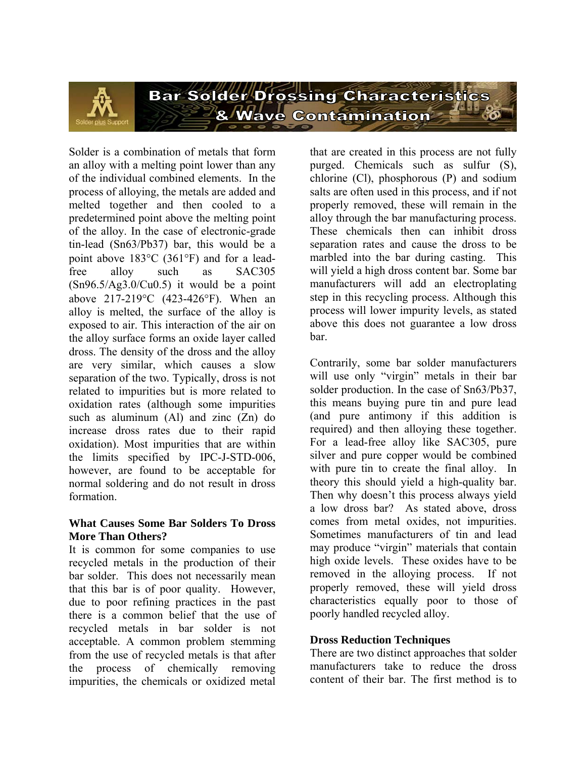

Solder is a combination of metals that form an alloy with a melting point lower than any of the individual combined elements. In the process of alloying, the metals are added and melted together and then cooled to a predetermined point above the melting point of the alloy. In the case of electronic-grade tin-lead (Sn63/Pb37) bar, this would be a point above 183°C (361°F) and for a leadfree alloy such as SAC305 (Sn96.5/Ag3.0/Cu0.5) it would be a point above 217-219°C (423-426°F). When an alloy is melted, the surface of the alloy is exposed to air. This interaction of the air on the alloy surface forms an oxide layer called dross. The density of the dross and the alloy are very similar, which causes a slow separation of the two. Typically, dross is not related to impurities but is more related to oxidation rates (although some impurities such as aluminum  $(A)$  and zinc  $(Zn)$  do increase dross rates due to their rapid oxidation). Most impurities that are within the limits specified by IPC-J-STD-006, however, are found to be acceptable for normal soldering and do not result in dross formation.

### **What Causes Some Bar Solders To Dross More Than Others?**

It is common for some companies to use recycled metals in the production of their bar solder. This does not necessarily mean that this bar is of poor quality. However, due to poor refining practices in the past there is a common belief that the use of recycled metals in bar solder is not acceptable. A common problem stemming from the use of recycled metals is that after the process of chemically removing impurities, the chemicals or oxidized metal that are created in this process are not fully purged. Chemicals such as sulfur (S), chlorine (Cl), phosphorous (P) and sodium salts are often used in this process, and if not properly removed, these will remain in the alloy through the bar manufacturing process. These chemicals then can inhibit dross separation rates and cause the dross to be marbled into the bar during casting. This will yield a high dross content bar. Some bar manufacturers will add an electroplating step in this recycling process. Although this process will lower impurity levels, as stated above this does not guarantee a low dross bar.

Contrarily, some bar solder manufacturers will use only "virgin" metals in their bar solder production. In the case of Sn63/Pb37, this means buying pure tin and pure lead (and pure antimony if this addition is required) and then alloying these together. For a lead-free alloy like SAC305, pure silver and pure copper would be combined with pure tin to create the final alloy. In theory this should yield a high-quality bar. Then why doesn't this process always yield a low dross bar? As stated above, dross comes from metal oxides, not impurities. Sometimes manufacturers of tin and lead may produce "virgin" materials that contain high oxide levels. These oxides have to be removed in the alloying process. If not properly removed, these will yield dross characteristics equally poor to those of poorly handled recycled alloy.

# **Dross Reduction Techniques**

There are two distinct approaches that solder manufacturers take to reduce the dross content of their bar. The first method is to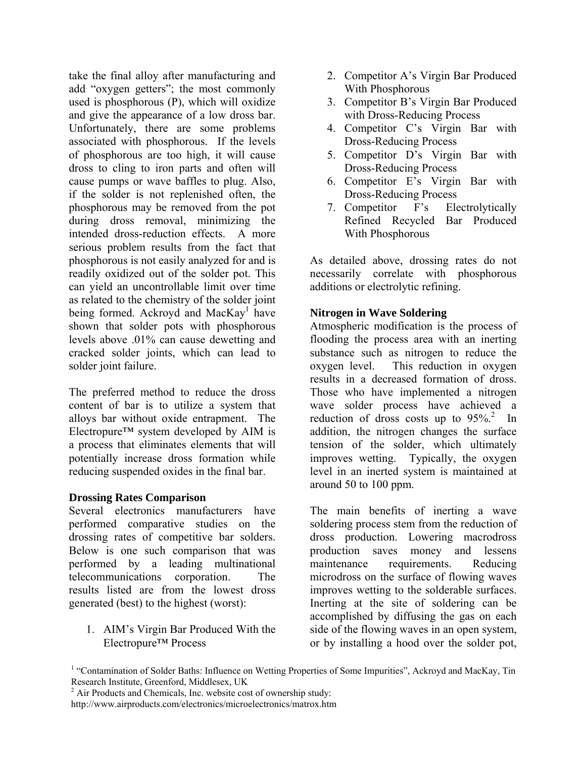take the final alloy after manufacturing and add "oxygen getters"; the most commonly used is phosphorous (P), which will oxidize and give the appearance of a low dross bar. Unfortunately, there are some problems associated with phosphorous. If the levels of phosphorous are too high, it will cause dross to cling to iron parts and often will cause pumps or wave baffles to plug. Also, if the solder is not replenished often, the phosphorous may be removed from the pot during dross removal, minimizing the intended dross-reduction effects. A more serious problem results from the fact that phosphorous is not easily analyzed for and is readily oxidized out of the solder pot. This can yield an uncontrollable limit over time as related to the chemistry of the solder joint being formed. Ackroyd and MacKay<sup>1</sup> have shown that solder pots with phosphorous levels above .01% can cause dewetting and cracked solder joints, which can lead to solder joint failure.

The preferred method to reduce the dross content of bar is to utilize a system that alloys bar without oxide entrapment. The Electropure<sup> $TM$ </sup> system developed by AIM is a process that eliminates elements that will potentially increase dross formation while reducing suspended oxides in the final bar.

#### **Drossing Rates Comparison**

Several electronics manufacturers have performed comparative studies on the drossing rates of competitive bar solders. Below is one such comparison that was performed by a leading multinational telecommunications corporation. The results listed are from the lowest dross generated (best) to the highest (worst):

1. AIM's Virgin Bar Produced With the Electropure™ Process

- 2. Competitor A's Virgin Bar Produced With Phosphorous
- 3. Competitor B's Virgin Bar Produced with Dross-Reducing Process
- 4. Competitor C's Virgin Bar with Dross-Reducing Process
- 5. Competitor D's Virgin Bar with Dross-Reducing Process
- 6. Competitor E's Virgin Bar with Dross-Reducing Process
- 7. Competitor F's Electrolytically Refined Recycled Bar Produced With Phosphorous

As detailed above, drossing rates do not necessarily correlate with phosphorous additions or electrolytic refining.

### **Nitrogen in Wave Soldering**

Atmospheric modification is the process of flooding the process area with an inerting substance such as nitrogen to reduce the oxygen level. This reduction in oxygen results in a decreased formation of dross. Those who have implemented a nitrogen wave solder process have achieved a reduction of dross costs up to  $95\%$ <sup>2</sup> In addition, the nitrogen changes the surface tension of the solder, which ultimately improves wetting. Typically, the oxygen level in an inerted system is maintained at around 50 to 100 ppm.

The main benefits of inerting a wave soldering process stem from the reduction of dross production. Lowering macrodross production saves money and lessens maintenance requirements. Reducing microdross on the surface of flowing waves improves wetting to the solderable surfaces. Inerting at the site of soldering can be accomplished by diffusing the gas on each side of the flowing waves in an open system, or by installing a hood over the solder pot,

<sup>&</sup>lt;sup>1</sup> "Contamination of Solder Baths: Influence on Wetting Properties of Some Impurities", Ackroyd and MacKay, Tin Research Institute, Greenford, Middlesex, UK

 $2^2$  Air Products and Chemicals, Inc. website cost of ownership study:

http://www.airproducts.com/electronics/microelectronics/matrox.htm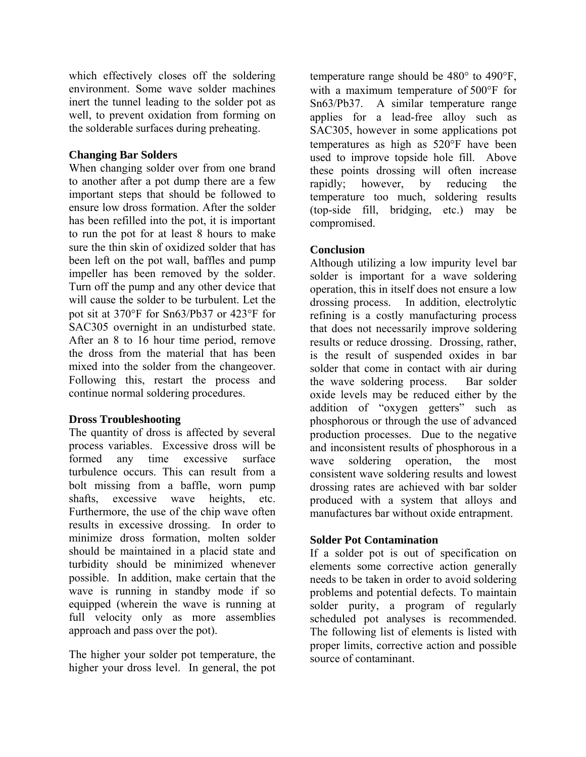which effectively closes off the soldering environment. Some wave solder machines inert the tunnel leading to the solder pot as well, to prevent oxidation from forming on the solderable surfaces during preheating.

# **Changing Bar Solders**

When changing solder over from one brand to another after a pot dump there are a few important steps that should be followed to ensure low dross formation. After the solder has been refilled into the pot, it is important to run the pot for at least 8 hours to make sure the thin skin of oxidized solder that has been left on the pot wall, baffles and pump impeller has been removed by the solder. Turn off the pump and any other device that will cause the solder to be turbulent. Let the pot sit at 370°F for Sn63/Pb37 or 423°F for SAC305 overnight in an undisturbed state. After an 8 to 16 hour time period, remove the dross from the material that has been mixed into the solder from the changeover. Following this, restart the process and continue normal soldering procedures.

# **Dross Troubleshooting**

The quantity of dross is affected by several process variables. Excessive dross will be formed any time excessive surface turbulence occurs. This can result from a bolt missing from a baffle, worn pump shafts, excessive wave heights, etc. Furthermore, the use of the chip wave often results in excessive drossing. In order to minimize dross formation, molten solder should be maintained in a placid state and turbidity should be minimized whenever possible. In addition, make certain that the wave is running in standby mode if so equipped (wherein the wave is running at full velocity only as more assemblies approach and pass over the pot).

The higher your solder pot temperature, the higher your dross level. In general, the pot temperature range should be 480° to 490°F, with a maximum temperature of 500°F for Sn63/Pb37. A similar temperature range applies for a lead-free alloy such as SAC305, however in some applications pot temperatures as high as 520°F have been used to improve topside hole fill. Above these points drossing will often increase rapidly; however, by reducing the temperature too much, soldering results (top-side fill, bridging, etc.) may be compromised.

# **Conclusion**

Although utilizing a low impurity level bar solder is important for a wave soldering operation, this in itself does not ensure a low drossing process. In addition, electrolytic refining is a costly manufacturing process that does not necessarily improve soldering results or reduce drossing. Drossing, rather, is the result of suspended oxides in bar solder that come in contact with air during the wave soldering process. Bar solder oxide levels may be reduced either by the addition of "oxygen getters" such as phosphorous or through the use of advanced production processes. Due to the negative and inconsistent results of phosphorous in a wave soldering operation, the most consistent wave soldering results and lowest drossing rates are achieved with bar solder produced with a system that alloys and manufactures bar without oxide entrapment.

# **Solder Pot Contamination**

If a solder pot is out of specification on elements some corrective action generally needs to be taken in order to avoid soldering problems and potential defects. To maintain solder purity, a program of regularly scheduled pot analyses is recommended. The following list of elements is listed with proper limits, corrective action and possible source of contaminant.